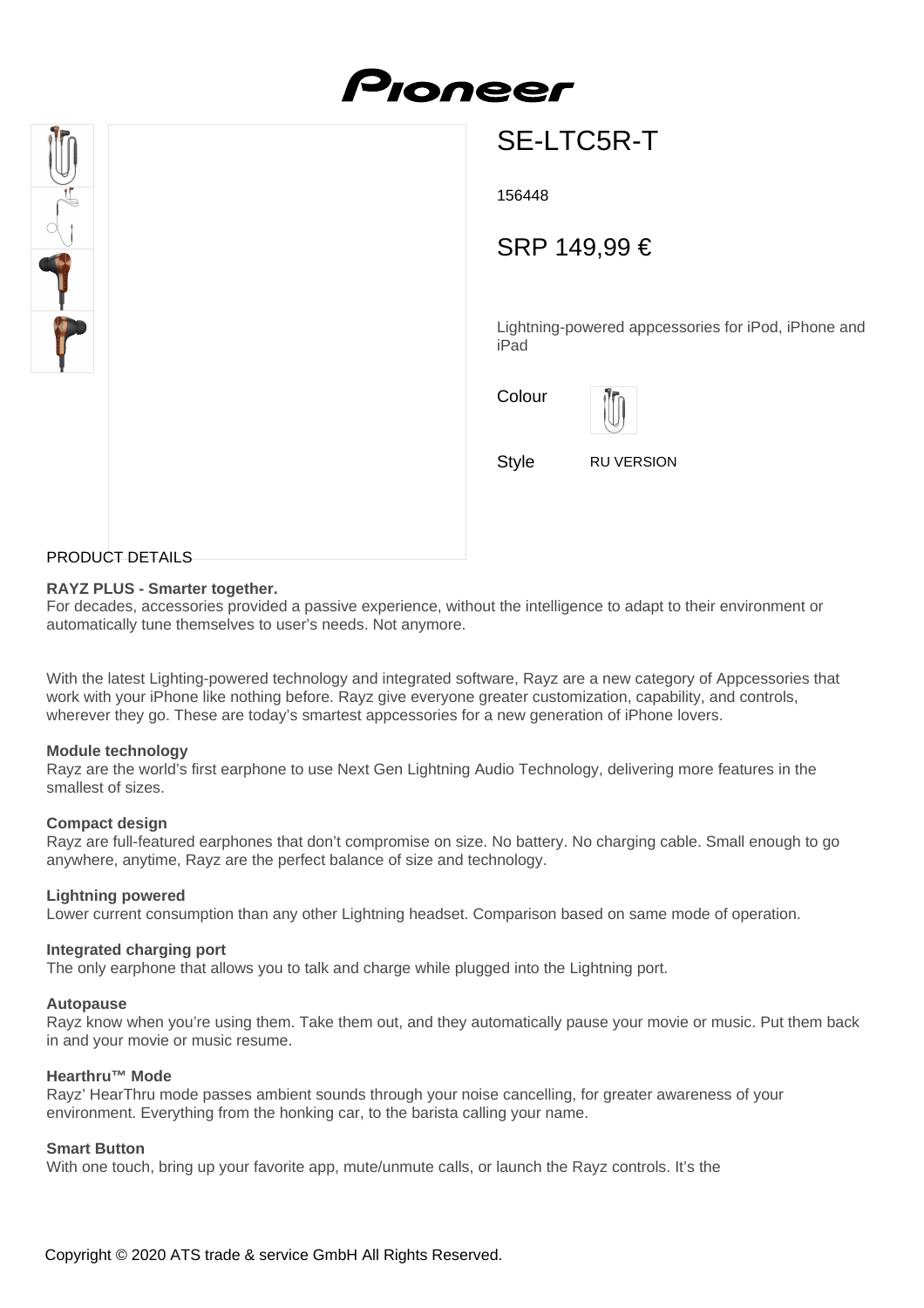

# Pioneer

## SE-LTC5R-T

156448

### SRP 149,99 €

Lightning-powered appcessories for iPod, iPhone and iPad



Style RU VERSION

#### PRODUCT DETAILS

#### **RAYZ PLUS - Smarter together.**

For decades, accessories provided a passive experience, without the intelligence to adapt to their environment or automatically tune themselves to user's needs. Not anymore.

With the latest Lighting-powered technology and integrated software, Rayz are a new category of Appcessories that work with your iPhone like nothing before. Rayz give everyone greater customization, capability, and controls, wherever they go. These are today's smartest appcessories for a new generation of iPhone lovers.

#### **Module technology**

Rayz are the world's first earphone to use Next Gen Lightning Audio Technology, delivering more features in the smallest of sizes.

#### **Compact design**

Rayz are full-featured earphones that don't compromise on size. No battery. No charging cable. Small enough to go anywhere, anytime, Rayz are the perfect balance of size and technology.

#### **Lightning powered**

Lower current consumption than any other Lightning headset. Comparison based on same mode of operation.

#### **Integrated charging port**

The only earphone that allows you to talk and charge while plugged into the Lightning port.

#### **Autopause**

Rayz know when you're using them. Take them out, and they automatically pause your movie or music. Put them back in and your movie or music resume.

#### **Hearthru™ Mode**

Rayz' HearThru mode passes ambient sounds through your noise cancelling, for greater awareness of your environment. Everything from the honking car, to the barista calling your name.

#### **Smart Button**

With one touch, bring up your favorite app, mute/unmute calls, or launch the Rayz controls. It's the